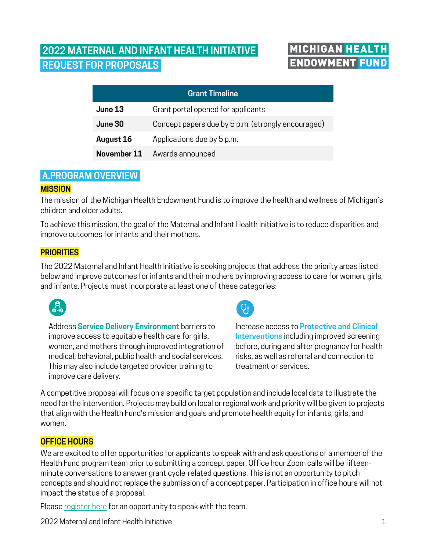# **2022 MATERNAL AND INFANT HEALTH INITIATIVE. REQUEST FOR PROPOSALS.**

# **MICHIGAN HEALTH ENDOWMENT FUND**

| <b>Grant Timeline</b> |                                                    |
|-----------------------|----------------------------------------------------|
| June 13               | Grant portal opened for applicants                 |
| June 30               | Concept papers due by 5 p.m. (strongly encouraged) |
| August 16             | Applications due by 5 p.m.                         |
| November 11           | Awards announced                                   |

# **A.PROGRAM OVERVIEW.**

# **MISSION**

The mission of the Michigan Health Endowment Fund is to improve the health and wellness of Michigan's children and older adults.

To achieve this mission, the goal of the Maternal and Infant Health Initiative is to reduce disparities and improve outcomes for infants and their mothers.

# **PRIORITIES**

The 2022 Maternal and Infant Health Initiative is seeking projects that address the priority areas listed below and improve outcomes for infants and their mothers by improving access to care for women, girls, and infants. Projects must incorporate at least one of these categories:



Address **Service Delivery Environment** barriers to improve access to equitable health care for girls, women, and mothers through improved integration of medical, behavioral, public health and social services. This may also include targeted provider training to improve care delivery.



Increase access to **Protective and Clinical Interventions** including improved screening before, during and after pregnancy for health risks, as well as referral and connection to treatment or services.

A competitive proposal will focus on a specific target population and include local data to illustrate the need for the intervention. Projects may build on local or regional work and priority will be given to projects that align with the Health Fund's mission and goals and promote health equity for infants, girls, and women.

# **OFFICE HOURS**

We are excited to offer opportunities for applicants to speak with and ask questions of a member of the Health Fund program team prior to submitting a concept paper. Office hour Zoom calls will be fifteenminute conversations to answer grant cycle-related questions. This is not an opportunity to pitch concepts and should not replace the submission of a concept paper. Participation in office hours will not impact the status of a proposal.

Please [register here](https://calendly.com/healtfundbh/2022-behavioral-health-office-hours) for an opportunity to speak with the team.

2022 Maternal and Infant Health Initiative 1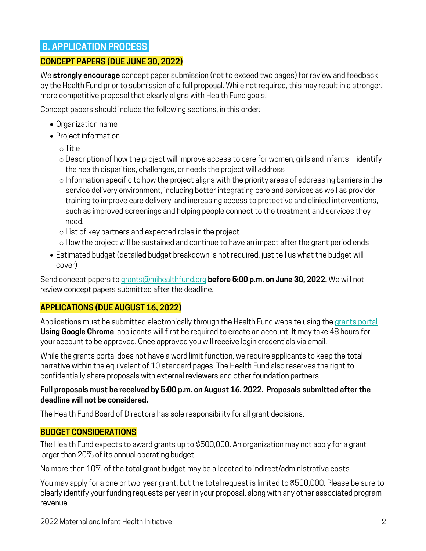# **B. APPLICATION PROCESS.**

# **CONCEPT PAPERS (DUE JUNE 30, 2022)**

We **strongly encourage** concept paper submission (not to exceed two pages) for review and feedback by the Health Fund prior to submission of a full proposal. While not required, this may result in a stronger, more competitive proposal that clearly aligns with Health Fund goals.

Concept papers should include the following sections, in this order:

- Organization name
- Project information
	- o Title
	- $\circ$  Description of how the project will improve access to care for women, girls and infants—identify the health disparities, challenges, or needs the project will address
	- o Information specific to how the project aligns with the priority areas of addressing barriers in the service delivery environment, including better integrating care and services as well as provider training to improve care delivery, and increasing access to protective and clinical interventions, such as improved screenings and helping people connect to the treatment and services they need.
	- o List of key partners and expected roles in the project
	- o How the project will be sustained and continue to have an impact after the grant period ends
- Estimated budget (detailed budget breakdown is not required, just tell us what the budget will cover)

Send concept papers to [grants@mihealthfund.org](mailto:grants@mihealthfund.org) **before 5:00 p.m. on June 30, 2022.** We will not review concept papers submitted after the deadline.

# **APPLICATIONS (DUE AUGUST 16, 2022)**

Applications must be submitted electronically through the Health Fund website using the [grants portal](https://mhef.fluxx.io/user_sessions/new). **Using Google Chrome**, applicants will first be required to create an account. It may take 48 hours for your account to be approved. Once approved you will receive login credentials via email.

While the grants portal does not have a word limit function, we require applicants to keep the total narrative within the equivalent of 10 standard pages. The Health Fund also reserves the right to confidentially share proposals with external reviewers and other foundation partners.

# **Full proposals must be received by 5:00 p.m. on August 16, 2022. Proposals submitted after the deadline will not be considered.**

The Health Fund Board of Directors has sole responsibility for all grant decisions.

# **BUDGET CONSIDERATIONS**

The Health Fund expects to award grants up to \$500,000. An organization may not apply for a grant larger than 20% of its annual operating budget.

No more than 10% of the total grant budget may be allocated to indirect/administrative costs.

You may apply for a one or two-year grant, but the total request is limited to \$500,000. Please be sure to clearly identify your funding requests per year in your proposal, along with any other associated program revenue.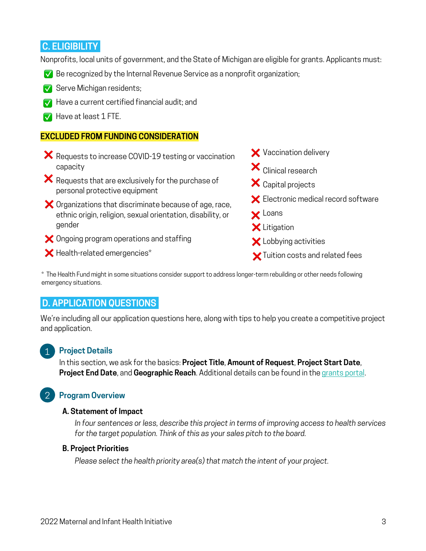# **C. ELIGIBILITY.**

Nonprofits, local units of government, and the State of Michigan are eligible for grants. Applicants must:

- Be recognized by the Internal Revenue Service as a nonprofit organization; ✅
- Serve Michigan residents; ✅
- $\blacktriangledown$  Have a current certified financial audit; and
- $\blacktriangledown$  Have at least 1 FTE.

#### **EXCLUDED FROM FUNDING CONSIDERATION**

- **★** Requests to increase COVID-19 testing or vaccination capacity
- $\blacktriangleright$  Requests that are exclusively for the purchase of personal protective equipment
- $\blacktriangleright$  Organizations that discriminate because of age, race, ethnic origin, religion, sexual orientation, disability, or gender
- $\blacktriangleright$  Ongoing program operations and staffing
- $\blacktriangleright$  Health-related emergencies $^*$



 $\bigtimes$  Tuition costs and related fees

\* The Health Fund might in some situations consider support to address longer-term rebuilding or other needs following emergency situations.

# **D. APPLICATION QUESTIONS.**

We're including all our application questions here, along with tips to help you create a competitive project and application.

# 1

# **Project Details**

In this section, we ask for the basics: **Project Title**, **Amount of Request**, **Project Start Date**, **Project End Date**, and **Geographic Reach**. Additional details can be found in the [grants portal](https://mhef.fluxx.io/user_sessions/new).

# **Program Overview** 2

#### **A. Statement of Impact**

*In four sentences or less, describe this project in terms of improving access to health services for the target population. Think of this as your sales pitch to the board.*

#### **B. Project Priorities**

*Please select the health priority area(s) that match the intent of your project.*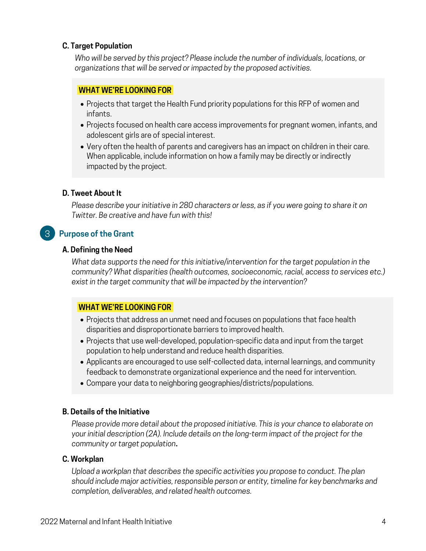# **C. Target Population**

*Who will be served by this project? Please include the number of individuals, locations, or organizations that will be served or impacted by the proposed activities.*

# **WHAT WE'RE LOOKING FOR.**

- Projects that target the Health Fund priority populations for this RFP of women and infants.
- Projects focused on health care access improvements for pregnant women, infants, and adolescent girls are of special interest.
- Very often the health of parents and caregivers has an impact on children in their care. When applicable, include information on how a family may be directly or indirectly impacted by the project.

# **D. Tweet About It**

*Please describe your initiative in 280 characters or less, as if you were going to share it on Twitter. Be creative and have fun with this!*

# **Purpose of the Grant** 3

# **A. Defining the Need**

*What data supports the need for this initiative/intervention for the target population in the community? What disparities (health outcomes, socioeconomic, racial, access to services etc.) exist in the target community that will be impacted by the intervention?*

# **WHAT WE'RE LOOKING FOR.**

- Projects that address an unmet need and focuses on populations that face health disparities and disproportionate barriers to improved health.
- Projects that use well-developed, population-specific data and input from the target population to help understand and reduce health disparities.
- Applicants are encouraged to use self-collected data, internal learnings, and community feedback to demonstrate organizational experience and the need for intervention.
- Compare your data to neighboring geographies/districts/populations.

# **B. Details of the Initiative**

*Please provide more detail about the proposed initiative. This is your chance to elaborate on your initial description (2A). Include details on the long-term impact of the project for the community or target population***.**

# **C. Workplan**

*Upload a workplan that describes the specific activities you propose to conduct. The plan should include major activities, responsible person or entity, timeline for key benchmarks and completion, deliverables, and related health outcomes.*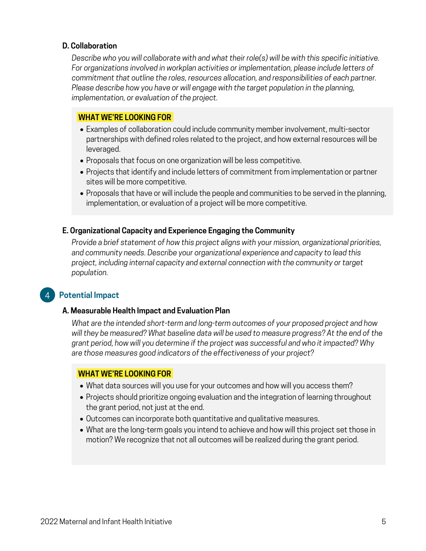#### **D. Collaboration**

*Describe who you will collaborate with and what their role(s) will be with this specific initiative. For organizations involved in workplan activities or implementation, please include letters of commitment that outline the roles, resources allocation, and responsibilities of each partner. Please describe how you have or will engage with the target population in the planning, implementation, or evaluation of the project.*

# **WHAT WE'RE LOOKING FOR.**

- Examples of collaboration could include community member involvement, multi-sector partnerships with defined roles related to the project, and how external resources will be leveraged.
- Proposals that focus on one organization will be less competitive.
- Projects that identify and include letters of commitment from implementation or partner sites will be more competitive.
- Proposals that have or will include the people and communities to be served in the planning, implementation, or evaluation of a project will be more competitive.

#### **E. Organizational Capacity and Experience Engaging the Community**

*Provide a brief statement of how this project aligns with your mission, organizational priorities, and community needs. Describe your organizational experience and capacity to lead this project, including internal capacity and external connection with the community or target population.*

#### **Potential Impact** 4

#### **A. Measurable Health Impact and Evaluation Plan**

*What are the intended short-term and long-term outcomes of your proposed project and how will they be measured? What baseline data will be used to measure progress? At the end of the grant period, how will you determine if the project was successful and who it impacted? Why are those measures good indicators of the effectiveness of your project?*

#### **WHAT WE'RE LOOKING FOR.**

- What data sources will you use for your outcomes and how will you access them?
- Projects should prioritize ongoing evaluation and the integration of learning throughout the grant period, not just at the end.
- Outcomes can incorporate both quantitative and qualitative measures.
- What are the long-term goals you intend to achieve and how will this project set those in motion? We recognize that not all outcomes will be realized during the grant period.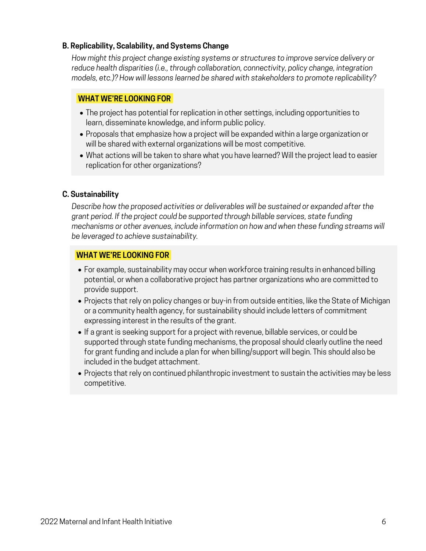# **B. Replicability, Scalability, and Systems Change**

*How might this project change existing systems or structures to improve service delivery or reduce health disparities (i.e., through collaboration, connectivity, policy change, integration models, etc.)? How will lessons learned be shared with stakeholders to promote replicability?*

# **WHAT WE'RE LOOKING FOR.**

- The project has potential for replication in other settings, including opportunities to learn, disseminate knowledge, and inform public policy.
- Proposals that emphasize how a project will be expanded within a large organization or will be shared with external organizations will be most competitive.
- What actions will be taken to share what you have learned? Will the project lead to easier replication for other organizations?

# **C. Sustainability**

*Describe how the proposed activities or deliverables will be sustained or expanded after the grant period. If the project could be supported through billable services, state funding mechanisms or other avenues, include information on how and when these funding streams will be leveraged to achieve sustainability.*

# **WHAT WE'RE LOOKING FOR.**

- For example, sustainability may occur when workforce training results in enhanced billing potential, or when a collaborative project has partner organizations who are committed to provide support.
- Projects that rely on policy changes or buy-in from outside entities, like the State of Michigan or a community health agency, for sustainability should include letters of commitment expressing interest in the results of the grant.
- If a grant is seeking support for a project with revenue, billable services, or could be supported through state funding mechanisms, the proposal should clearly outline the need for grant funding and include a plan for when billing/support will begin. This should also be included in the budget attachment.
- Projects that rely on continued philanthropic investment to sustain the activities may be less competitive.